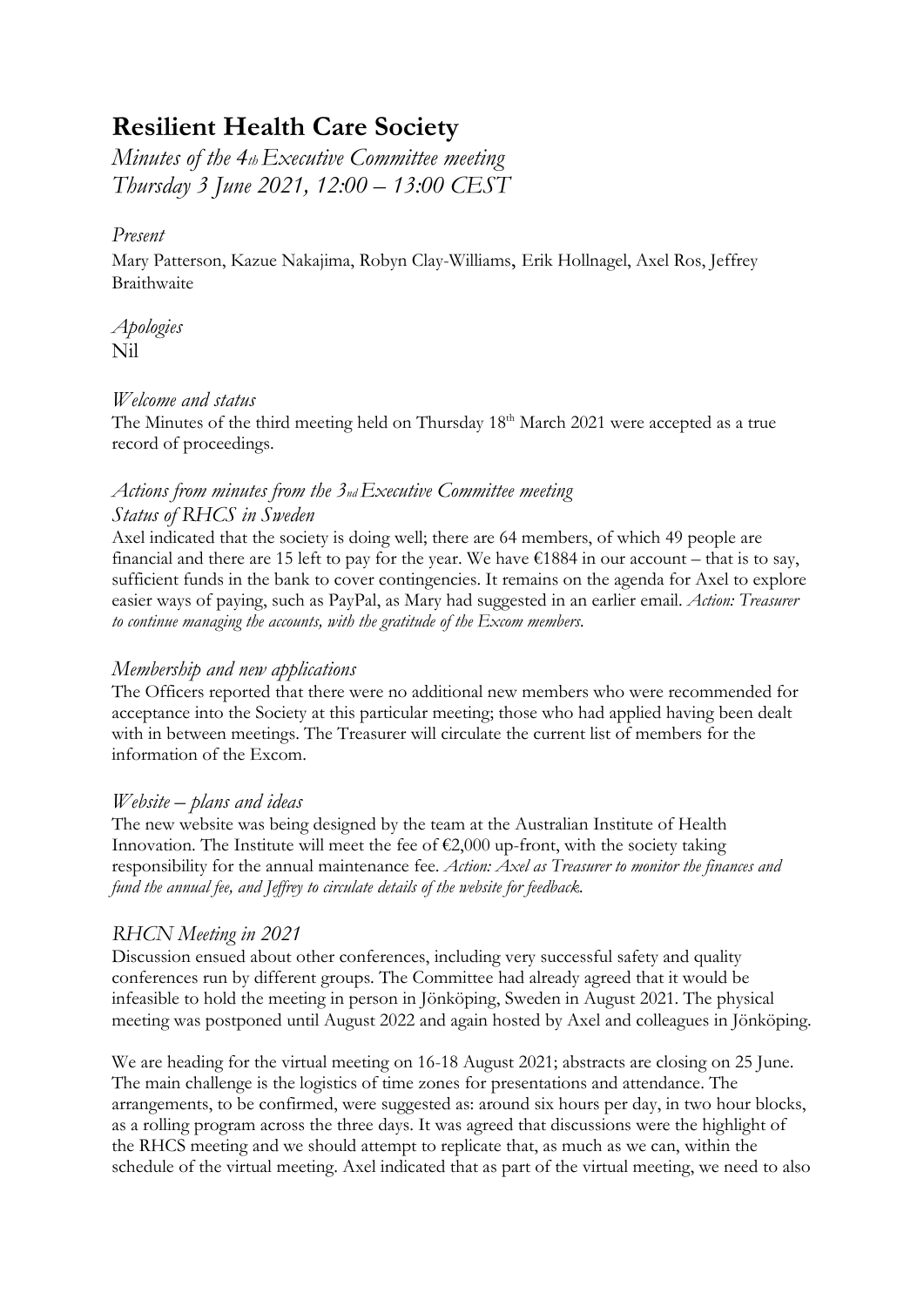# **Resilient Health Care Society**

*Minutes of the 4thExecutive Committee meeting Thursday 3 June 2021, 12:00 – 13:00 CEST*

## *Present*

Mary Patterson, Kazue Nakajima, Robyn Clay-Williams, Erik Hollnagel, Axel Ros, Jeffrey **Braithwaite** 

*Apologies* Nil

### *Welcome and status*

The Minutes of the third meeting held on Thursday 18<sup>th</sup> March 2021 were accepted as a true record of proceedings.

## *Actions from minutes from the 3ndExecutive Committee meeting Status of RHCS in Sweden*

Axel indicated that the society is doing well; there are 64 members, of which 49 people are financial and there are 15 left to pay for the year. We have  $\epsilon$ 1884 in our account – that is to say, sufficient funds in the bank to cover contingencies. It remains on the agenda for Axel to explore easier ways of paying, such as PayPal, as Mary had suggested in an earlier email. *Action: Treasurer to continue managing the accounts, with the gratitude of the Excom members.*

# *Membership and new applications*

The Officers reported that there were no additional new members who were recommended for acceptance into the Society at this particular meeting; those who had applied having been dealt with in between meetings. The Treasurer will circulate the current list of members for the information of the Excom.

# *Website – plans and ideas*

The new website was being designed by the team at the Australian Institute of Health Innovation. The Institute will meet the fee of  $\epsilon$ 2,000 up-front, with the society taking responsibility for the annual maintenance fee. *Action: Axel as Treasurer to monitor the finances and fund the annual fee, and Jeffrey to circulate details of the website for feedback.*

# *RHCN Meeting in 2021*

Discussion ensued about other conferences, including very successful safety and quality conferences run by different groups. The Committee had already agreed that it would be infeasible to hold the meeting in person in Jönköping, Sweden in August 2021. The physical meeting was postponed until August 2022 and again hosted by Axel and colleagues in Jönköping.

We are heading for the virtual meeting on 16-18 August 2021; abstracts are closing on 25 June. The main challenge is the logistics of time zones for presentations and attendance. The arrangements, to be confirmed, were suggested as: around six hours per day, in two hour blocks, as a rolling program across the three days. It was agreed that discussions were the highlight of the RHCS meeting and we should attempt to replicate that, as much as we can, within the schedule of the virtual meeting. Axel indicated that as part of the virtual meeting, we need to also